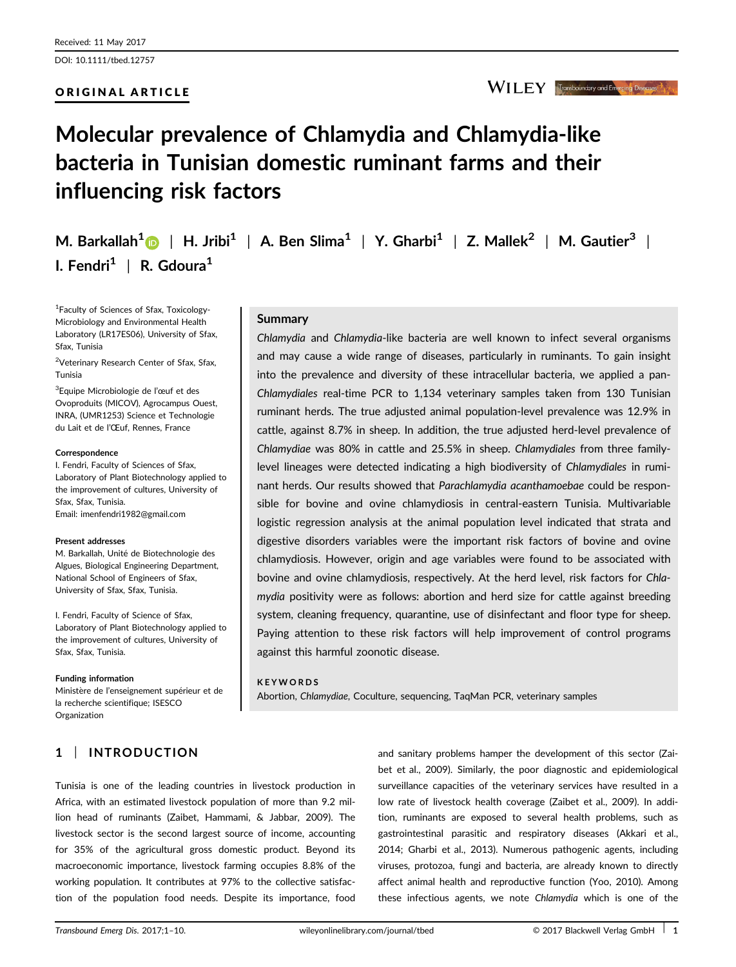DOI: 10.1111/tbed.12757

## ORIGINAL ARTICLE

I. Fendri<sup>1</sup> | R. Gdoura<sup>1</sup>

<sup>1</sup>Faculty of Sciences of Sfax, Toxicology-Microbiology and Environmental Health Laboratory (LR17ES06), University of Sfax,

<sup>2</sup>Veterinary Research Center of Sfax, Sfax,

<sup>3</sup>Equipe Microbiologie de l'œuf et des Ovoproduits (MICOV), Agrocampus Ouest,

influencing risk factors

Molecular prevalence of Chlamydia and Chlamydia-like

bacteria in Tunisian domestic ruminant farms and their

M. Barkallah<sup>1</sup> | H. Jribi<sup>1</sup> | A. Ben Slima<sup>1</sup> | Y. Gharbi<sup>1</sup> | Z. Mallek<sup>2</sup> | M. Gautier<sup>3</sup> |

Chlamydia and Chlamydia-like bacteria are well known to infect several organisms and may cause a wide range of diseases, particularly in ruminants. To gain insight into the prevalence and diversity of these intracellular bacteria, we applied a pan-Chlamydiales real-time PCR to 1,134 veterinary samples taken from 130 Tunisian ruminant herds. The true adjusted animal population-level prevalence was 12.9% in cattle, against 8.7% in sheep. In addition, the true adjusted herd-level prevalence of Chlamydiae was 80% in cattle and 25.5% in sheep. Chlamydiales from three familylevel lineages were detected indicating a high biodiversity of Chlamydiales in ruminant herds. Our results showed that Parachlamydia acanthamoebae could be responsible for bovine and ovine chlamydiosis in central-eastern Tunisia. Multivariable logistic regression analysis at the animal population level indicated that strata and digestive disorders variables were the important risk factors of bovine and ovine chlamydiosis. However, origin and age variables were found to be associated with bovine and ovine chlamydiosis, respectively. At the herd level, risk factors for Chlamydia positivity were as follows: abortion and herd size for cattle against breeding system, cleaning frequency, quarantine, use of disinfectant and floor type for sheep. Paying attention to these risk factors will help improvement of control programs against this harmful zoonotic disease.

#### KEYWORDS

Abortion, Chlamydiae, Coculture, sequencing, TaqMan PCR, veterinary samples

Tunisia is one of the leading countries in livestock production in Africa, with an estimated livestock population of more than 9.2 million head of ruminants (Zaibet, Hammami, & Jabbar, 2009). The livestock sector is the second largest source of income, accounting for 35% of the agricultural gross domestic product. Beyond its macroeconomic importance, livestock farming occupies 8.8% of the working population. It contributes at 97% to the collective satisfaction of the population food needs. Despite its importance, food

and sanitary problems hamper the development of this sector (Zaibet et al., 2009). Similarly, the poor diagnostic and epidemiological surveillance capacities of the veterinary services have resulted in a low rate of livestock health coverage (Zaibet et al., 2009). In addition, ruminants are exposed to several health problems, such as gastrointestinal parasitic and respiratory diseases (Akkari et al., 2014; Gharbi et al., 2013). Numerous pathogenic agents, including viruses, protozoa, fungi and bacteria, are already known to directly affect animal health and reproductive function (Yoo, 2010). Among these infectious agents, we note Chlamydia which is one of the

# Summary

INRA, (UMR1253) Science et Technologie du Lait et de l'Œuf, Rennes, France

I. Fendri, Faculty of Sciences of Sfax, Laboratory of Plant Biotechnology applied to the improvement of cultures, University of Sfax, Sfax, Tunisia. Email: imenfendri1982@gmail.com

#### Present addresses

**Correspondence** 

Sfax, Tunisia

Tunisia

M. Barkallah, Unité de Biotechnologie des Algues, Biological Engineering Department, National School of Engineers of Sfax, University of Sfax, Sfax, Tunisia.

I. Fendri, Faculty of Science of Sfax, Laboratory of Plant Biotechnology applied to the improvement of cultures, University of Sfax, Sfax, Tunisia.

#### Funding information

Ministère de l'enseignement supérieur et de la recherche scientifique: ISESCO Organization

1 | INTRODUCTION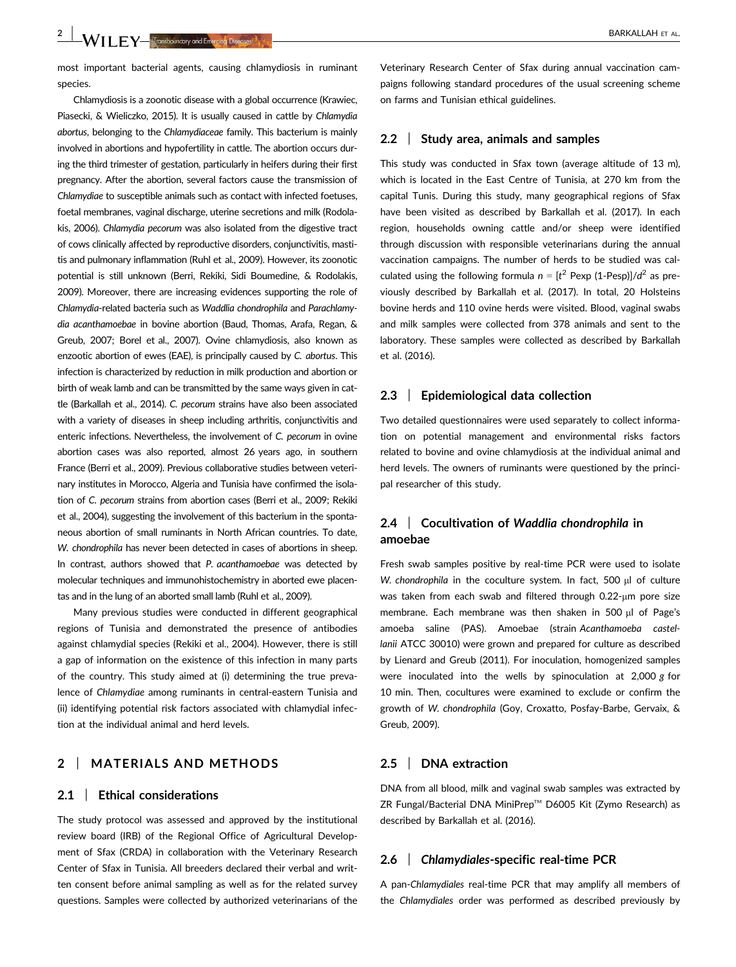most important bacterial agents, causing chlamydiosis in ruminant species.

Chlamydiosis is a zoonotic disease with a global occurrence (Krawiec, Piasecki, & Wieliczko, 2015). It is usually caused in cattle by Chlamydia abortus, belonging to the Chlamydiaceae family. This bacterium is mainly involved in abortions and hypofertility in cattle. The abortion occurs during the third trimester of gestation, particularly in heifers during their first pregnancy. After the abortion, several factors cause the transmission of Chlamydiae to susceptible animals such as contact with infected foetuses, foetal membranes, vaginal discharge, uterine secretions and milk (Rodolakis, 2006). Chlamydia pecorum was also isolated from the digestive tract of cows clinically affected by reproductive disorders, conjunctivitis, mastitis and pulmonary inflammation (Ruhl et al., 2009). However, its zoonotic potential is still unknown (Berri, Rekiki, Sidi Boumedine, & Rodolakis, 2009). Moreover, there are increasing evidences supporting the role of Chlamydia-related bacteria such as Waddlia chondrophila and Parachlamydia acanthamoebae in bovine abortion (Baud, Thomas, Arafa, Regan, & Greub, 2007; Borel et al., 2007). Ovine chlamydiosis, also known as enzootic abortion of ewes (EAE), is principally caused by C. abortus. This infection is characterized by reduction in milk production and abortion or birth of weak lamb and can be transmitted by the same ways given in cattle (Barkallah et al., 2014). C. pecorum strains have also been associated with a variety of diseases in sheep including arthritis, conjunctivitis and enteric infections. Nevertheless, the involvement of C. pecorum in ovine abortion cases was also reported, almost 26 years ago, in southern France (Berri et al., 2009). Previous collaborative studies between veterinary institutes in Morocco, Algeria and Tunisia have confirmed the isolation of C. pecorum strains from abortion cases (Berri et al., 2009; Rekiki et al., 2004), suggesting the involvement of this bacterium in the spontaneous abortion of small ruminants in North African countries. To date, W. chondrophila has never been detected in cases of abortions in sheep. In contrast, authors showed that P. acanthamoebae was detected by molecular techniques and immunohistochemistry in aborted ewe placentas and in the lung of an aborted small lamb (Ruhl et al., 2009).

Many previous studies were conducted in different geographical regions of Tunisia and demonstrated the presence of antibodies against chlamydial species (Rekiki et al., 2004). However, there is still a gap of information on the existence of this infection in many parts of the country. This study aimed at (i) determining the true prevalence of Chlamydiae among ruminants in central-eastern Tunisia and (ii) identifying potential risk factors associated with chlamydial infection at the individual animal and herd levels.

# 2 | MATERIALS AND METHODS

#### 2.1 | Ethical considerations

The study protocol was assessed and approved by the institutional review board (IRB) of the Regional Office of Agricultural Development of Sfax (CRDA) in collaboration with the Veterinary Research Center of Sfax in Tunisia. All breeders declared their verbal and written consent before animal sampling as well as for the related survey questions. Samples were collected by authorized veterinarians of the Veterinary Research Center of Sfax during annual vaccination campaigns following standard procedures of the usual screening scheme on farms and Tunisian ethical guidelines.

#### 2.2 | Study area, animals and samples

This study was conducted in Sfax town (average altitude of 13 m), which is located in the East Centre of Tunisia, at 270 km from the capital Tunis. During this study, many geographical regions of Sfax have been visited as described by Barkallah et al. (2017). In each region, households owning cattle and/or sheep were identified through discussion with responsible veterinarians during the annual vaccination campaigns. The number of herds to be studied was calculated using the following formula  $n = [t^2 \text{ Pexp } (1-\text{Pesp})]/d^2$  as previously described by Barkallah et al. (2017). In total, 20 Holsteins bovine herds and 110 ovine herds were visited. Blood, vaginal swabs and milk samples were collected from 378 animals and sent to the laboratory. These samples were collected as described by Barkallah et al. (2016).

#### 2.3 | Epidemiological data collection

Two detailed questionnaires were used separately to collect information on potential management and environmental risks factors related to bovine and ovine chlamydiosis at the individual animal and herd levels. The owners of ruminants were questioned by the principal researcher of this study.

# 2.4 | Cocultivation of Waddlia chondrophila in amoebae

Fresh swab samples positive by real-time PCR were used to isolate W. chondrophila in the coculture system. In fact, 500 µl of culture was taken from each swab and filtered through 0.22-um pore size membrane. Each membrane was then shaken in 500  $\mu$ l of Page's amoeba saline (PAS). Amoebae (strain Acanthamoeba castellanii ATCC 30010) were grown and prepared for culture as described by Lienard and Greub (2011). For inoculation, homogenized samples were inoculated into the wells by spinoculation at 2,000 g for 10 min. Then, cocultures were examined to exclude or confirm the growth of W. chondrophila (Goy, Croxatto, Posfay-Barbe, Gervaix, & Greub, 2009).

#### 2.5 | DNA extraction

DNA from all blood, milk and vaginal swab samples was extracted by ZR Fungal/Bacterial DNA MiniPrep™ D6005 Kit (Zymo Research) as described by Barkallah et al. (2016).

#### 2.6 | Chlamydiales-specific real-time PCR

A pan-Chlamydiales real-time PCR that may amplify all members of the Chlamydiales order was performed as described previously by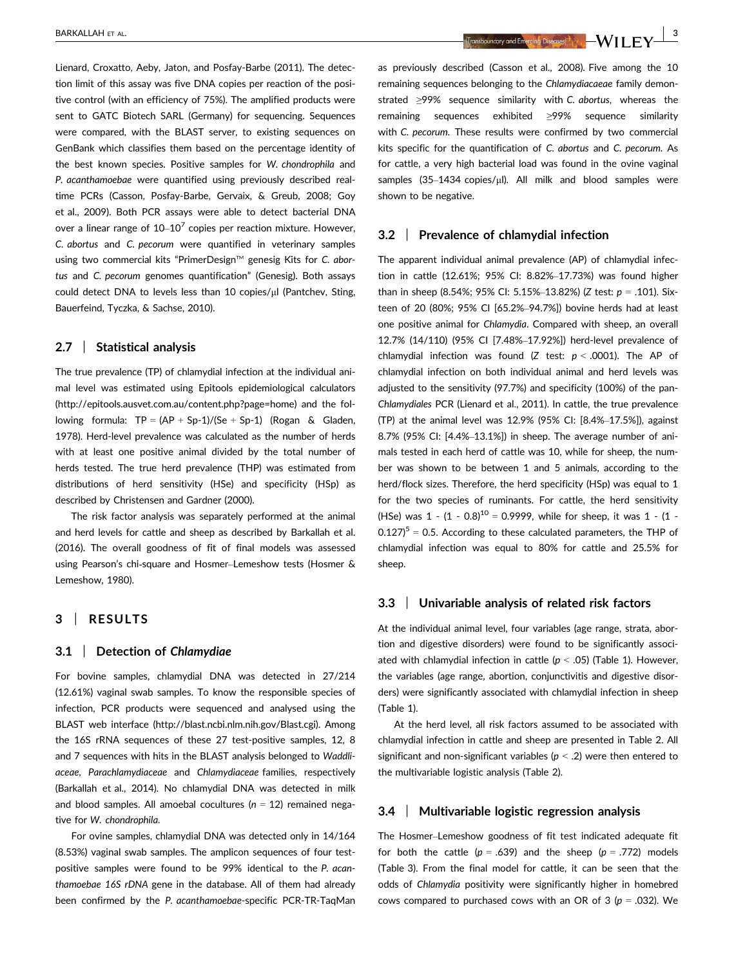Lienard, Croxatto, Aeby, Jaton, and Posfay-Barbe (2011). The detection limit of this assay was five DNA copies per reaction of the positive control (with an efficiency of 75%). The amplified products were sent to GATC Biotech SARL (Germany) for sequencing. Sequences were compared, with the BLAST server, to existing sequences on GenBank which classifies them based on the percentage identity of the best known species. Positive samples for W. chondrophila and P. acanthamoebae were quantified using previously described realtime PCRs (Casson, Posfay-Barbe, Gervaix, & Greub, 2008; Goy et al., 2009). Both PCR assays were able to detect bacterial DNA over a linear range of  $10-10^7$  copies per reaction mixture. However, C. abortus and C. pecorum were quantified in veterinary samples using two commercial kits "PrimerDesign™ genesig Kits for C. abortus and C. pecorum genomes quantification" (Genesig). Both assays could detect DNA to levels less than 10 copies/µl (Pantchev, Sting, Bauerfeind, Tyczka, & Sachse, 2010).

#### 2.7 | Statistical analysis

The true prevalence (TP) of chlamydial infection at the individual animal level was estimated using Epitools epidemiological calculators ([http://epitools.ausvet.com.au/content.php?page=home](https://doi.org/http://epitools.ausvet.com.au/content.php?page=home)) and the following formula:  $TP = (AP + Sp-1)/(Se + Sp-1)$  (Rogan & Gladen, 1978). Herd-level prevalence was calculated as the number of herds with at least one positive animal divided by the total number of herds tested. The true herd prevalence (THP) was estimated from distributions of herd sensitivity (HSe) and specificity (HSp) as described by Christensen and Gardner (2000).

The risk factor analysis was separately performed at the animal and herd levels for cattle and sheep as described by Barkallah et al. (2016). The overall goodness of fit of final models was assessed using Pearson's chi-square and Hosmer–Lemeshow tests (Hosmer & Lemeshow, 1980).

# 3 | RESULTS

### 3.1 | Detection of Chlamydiae

For bovine samples, chlamydial DNA was detected in 27/214 (12.61%) vaginal swab samples. To know the responsible species of infection, PCR products were sequenced and analysed using the BLAST web interface [\(http://blast.ncbi.nlm.nih.gov/Blast.cgi\)](https://doi.org/http://blast.ncbi.nlm.nih.gov/Blast.cgi). Among the 16S rRNA sequences of these 27 test-positive samples, 12, 8 and 7 sequences with hits in the BLAST analysis belonged to Waddliaceae, Parachlamydiaceae and Chlamydiaceae families, respectively (Barkallah et al., 2014). No chlamydial DNA was detected in milk and blood samples. All amoebal cocultures ( $n = 12$ ) remained negative for W. chondrophila.

For ovine samples, chlamydial DNA was detected only in 14/164 (8.53%) vaginal swab samples. The amplicon sequences of four testpositive samples were found to be 99% identical to the P. acanthamoebae 16S rDNA gene in the database. All of them had already been confirmed by the P. acanthamoebae-specific PCR-TR-TaqMan

BARKALLAH ET AL. 3

as previously described (Casson et al., 2008). Five among the 10 remaining sequences belonging to the Chlamydiacaeae family demonstrated ≥99% sequence similarity with C. abortus, whereas the remaining sequences exhibited ≥99% sequence similarity with C. pecorum. These results were confirmed by two commercial kits specific for the quantification of C. abortus and C. pecorum. As for cattle, a very high bacterial load was found in the ovine vaginal samples  $(35-1434 \text{ copies/}\mu\text{l})$ . All milk and blood samples were shown to be negative.

#### 3.2 | Prevalence of chlamydial infection

The apparent individual animal prevalence (AP) of chlamydial infection in cattle (12.61%; 95% CI: 8.82%–17.73%) was found higher than in sheep (8.54%; 95% CI: 5.15%-13.82%) (Z test:  $p = .101$ ). Sixteen of 20 (80%; 95% CI [65.2%–94.7%]) bovine herds had at least one positive animal for Chlamydia. Compared with sheep, an overall 12.7% (14/110) (95% CI [7.48%–17.92%]) herd-level prevalence of chlamydial infection was found (Z test:  $p < .0001$ ). The AP of chlamydial infection on both individual animal and herd levels was adjusted to the sensitivity (97.7%) and specificity (100%) of the pan-Chlamydiales PCR (Lienard et al., 2011). In cattle, the true prevalence (TP) at the animal level was 12.9% (95% CI: [8.4%–17.5%]), against 8.7% (95% CI: [4.4%–13.1%]) in sheep. The average number of animals tested in each herd of cattle was 10, while for sheep, the number was shown to be between 1 and 5 animals, according to the herd/flock sizes. Therefore, the herd specificity (HSp) was equal to 1 for the two species of ruminants. For cattle, the herd sensitivity (HSe) was  $1 - (1 - 0.8)^{10} = 0.9999$ , while for sheep, it was  $1 - (1 - 1)$  $0.127$ <sup>5</sup> = 0.5. According to these calculated parameters, the THP of chlamydial infection was equal to 80% for cattle and 25.5% for sheep.

#### 3.3 | Univariable analysis of related risk factors

At the individual animal level, four variables (age range, strata, abortion and digestive disorders) were found to be significantly associated with chlamydial infection in cattle ( $p < .05$ ) (Table 1). However, the variables (age range, abortion, conjunctivitis and digestive disorders) were significantly associated with chlamydial infection in sheep (Table 1).

At the herd level, all risk factors assumed to be associated with chlamydial infection in cattle and sheep are presented in Table 2. All significant and non-significant variables ( $p < .2$ ) were then entered to the multivariable logistic analysis (Table 2).

#### 3.4 | Multivariable logistic regression analysis

The Hosmer–Lemeshow goodness of fit test indicated adequate fit for both the cattle ( $p = .639$ ) and the sheep ( $p = .772$ ) models (Table 3). From the final model for cattle, it can be seen that the odds of Chlamydia positivity were significantly higher in homebred cows compared to purchased cows with an OR of 3 ( $p = .032$ ). We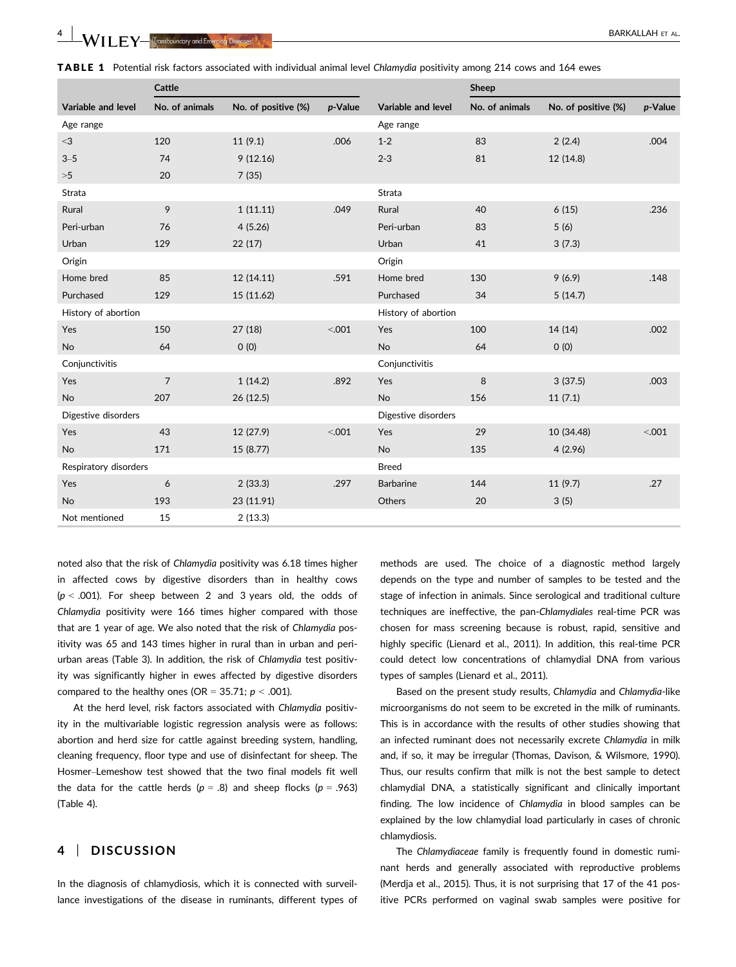|                       | Cattle         |                     |         |                     | Sheep          |                     |         |  |  |
|-----------------------|----------------|---------------------|---------|---------------------|----------------|---------------------|---------|--|--|
| Variable and level    | No. of animals | No. of positive (%) | p-Value | Variable and level  | No. of animals | No. of positive (%) | p-Value |  |  |
| Age range             |                |                     |         | Age range           |                |                     |         |  |  |
| $<$ 3                 | 120            | 11(9.1)             | .006    | $1 - 2$             | 83             | 2(2.4)              | .004    |  |  |
| $3 - 5$               | 74             | 9(12.16)            |         | $2 - 3$             | 81             | 12 (14.8)           |         |  |  |
| >5                    | 20             | 7(35)               |         |                     |                |                     |         |  |  |
| <b>Strata</b>         |                |                     |         | Strata              |                |                     |         |  |  |
| Rural                 | 9              | 1(11.11)            | .049    | Rural               | 40             | 6(15)               | .236    |  |  |
| Peri-urban            | 76             | 4(5.26)             |         | Peri-urban          | 83             | 5(6)                |         |  |  |
| Urban                 | 129            | 22(17)              |         | Urban               | 41             | 3(7.3)              |         |  |  |
| Origin                |                |                     |         | Origin              |                |                     |         |  |  |
| Home bred             | 85             | 12 (14.11)          | .591    | Home bred           | 130            | 9(6.9)              | .148    |  |  |
| Purchased             | 129            | 15 (11.62)          |         | Purchased           | 34             | 5(14.7)             |         |  |  |
| History of abortion   |                |                     |         | History of abortion |                |                     |         |  |  |
| Yes                   | 150            | 27(18)              | < .001  | Yes                 | 100            | 14 (14)             | .002    |  |  |
| <b>No</b>             | 64             | O(0)                |         | No                  | 64             | O(0)                |         |  |  |
| Conjunctivitis        |                |                     |         | Conjunctivitis      |                |                     |         |  |  |
| Yes                   | $\overline{7}$ | 1(14.2)             | .892    | Yes                 | 8              | 3(37.5)             | .003    |  |  |
| <b>No</b>             | 207            | 26 (12.5)           |         | No                  | 156            | 11(7.1)             |         |  |  |
| Digestive disorders   |                |                     |         | Digestive disorders |                |                     |         |  |  |
| Yes                   | 43             | 12 (27.9)           | < .001  | Yes                 | 29             | 10 (34.48)          | < 0.001 |  |  |
| <b>No</b>             | 171            | 15 (8.77)           |         | <b>No</b>           | 135            | 4(2.96)             |         |  |  |
| Respiratory disorders |                |                     |         | <b>Breed</b>        |                |                     |         |  |  |
| Yes                   | 6              | 2(33.3)             | .297    | <b>Barbarine</b>    | 144            | 11(9.7)             | .27     |  |  |
| <b>No</b>             | 193            | 23 (11.91)          |         | Others              | 20             | 3(5)                |         |  |  |
| Not mentioned         | 15             | 2(13.3)             |         |                     |                |                     |         |  |  |

TABLE 1 Potential risk factors associated with individual animal level Chlamydia positivity among 214 cows and 164 ewes

noted also that the risk of Chlamydia positivity was 6.18 times higher in affected cows by digestive disorders than in healthy cows  $(p < .001)$ . For sheep between 2 and 3 years old, the odds of Chlamydia positivity were 166 times higher compared with those that are 1 year of age. We also noted that the risk of Chlamydia positivity was 65 and 143 times higher in rural than in urban and periurban areas (Table 3). In addition, the risk of Chlamydia test positivity was significantly higher in ewes affected by digestive disorders compared to the healthy ones (OR = 35.71;  $p < .001$ ).

At the herd level, risk factors associated with Chlamydia positivity in the multivariable logistic regression analysis were as follows: abortion and herd size for cattle against breeding system, handling, cleaning frequency, floor type and use of disinfectant for sheep. The Hosmer–Lemeshow test showed that the two final models fit well the data for the cattle herds ( $p = .8$ ) and sheep flocks ( $p = .963$ ) (Table 4).

# 4 | DISCUSSION

In the diagnosis of chlamydiosis, which it is connected with surveillance investigations of the disease in ruminants, different types of methods are used. The choice of a diagnostic method largely depends on the type and number of samples to be tested and the stage of infection in animals. Since serological and traditional culture techniques are ineffective, the pan-Chlamydiales real-time PCR was chosen for mass screening because is robust, rapid, sensitive and highly specific (Lienard et al., 2011). In addition, this real-time PCR could detect low concentrations of chlamydial DNA from various types of samples (Lienard et al., 2011).

Based on the present study results, Chlamydia and Chlamydia-like microorganisms do not seem to be excreted in the milk of ruminants. This is in accordance with the results of other studies showing that an infected ruminant does not necessarily excrete Chlamydia in milk and, if so, it may be irregular (Thomas, Davison, & Wilsmore, 1990). Thus, our results confirm that milk is not the best sample to detect chlamydial DNA, a statistically significant and clinically important finding. The low incidence of Chlamydia in blood samples can be explained by the low chlamydial load particularly in cases of chronic chlamydiosis.

The Chlamydiaceae family is frequently found in domestic ruminant herds and generally associated with reproductive problems (Merdja et al., 2015). Thus, it is not surprising that 17 of the 41 positive PCRs performed on vaginal swab samples were positive for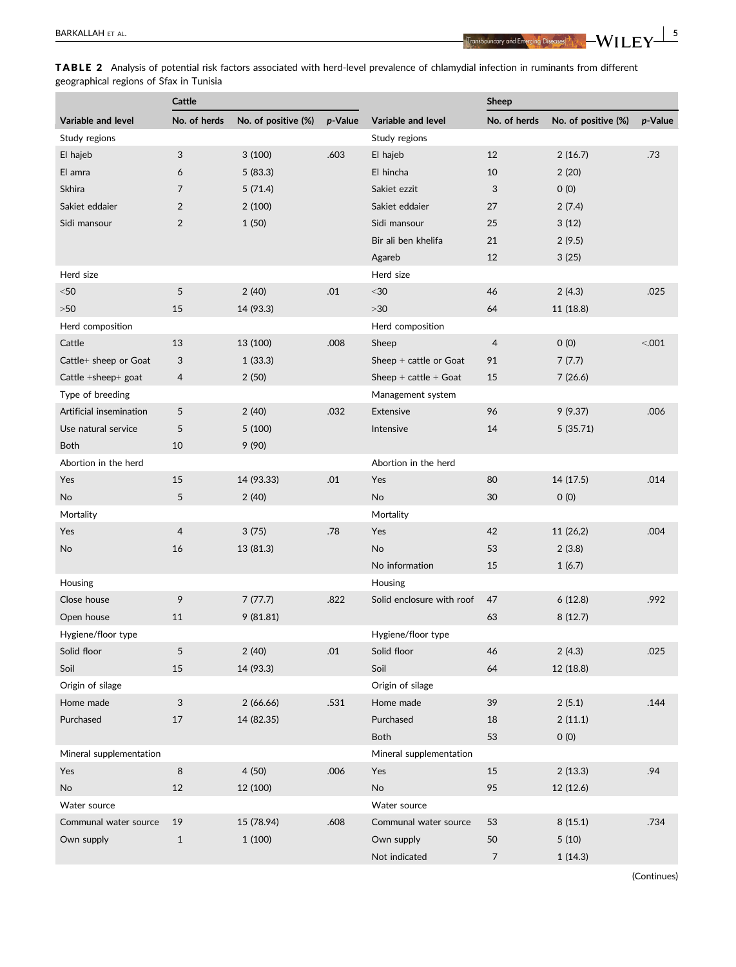BARKALLAH ET AL.  $\frac{5}{100}$  and  $\frac{1}{100}$  and  $\frac{1}{100}$  and  $\frac{1}{100}$  and  $\frac{1}{100}$  and  $\frac{1}{100}$  and  $\frac{1}{100}$  and  $\frac{1}{100}$  and  $\frac{1}{100}$  and  $\frac{1}{100}$  and  $\frac{1}{100}$  and  $\frac{1}{100}$  and  $\frac{1}{100}$ 

TABLE 2 Analysis of potential risk factors associated with herd-level prevalence of chlamydial infection in ruminants from different geographical regions of Sfax in Tunisia

|                           | Cattle         |                     |         | <b>Sheep</b>              |                |                     |         |
|---------------------------|----------------|---------------------|---------|---------------------------|----------------|---------------------|---------|
| Variable and level        | No. of herds   | No. of positive (%) | p-Value | Variable and level        | No. of herds   | No. of positive (%) | p-Value |
| Study regions             |                |                     |         | Study regions             |                |                     |         |
| El hajeb                  | 3              | 3(100)              | .603    | El hajeb                  | 12             | 2(16.7)             | .73     |
| El amra                   | 6              | 5(83.3)             |         | El hincha                 | 10             | 2(20)               |         |
| Skhira                    | 7              | 5(71.4)             |         | Sakiet ezzit              | 3              | 0(0)                |         |
| Sakiet eddaier            | 2              | 2(100)              |         | Sakiet eddaier            | 27             | 2(7.4)              |         |
| Sidi mansour              | 2              | 1(50)               |         | Sidi mansour              | 25             | 3(12)               |         |
|                           |                |                     |         | Bir ali ben khelifa       | 21             | 2(9.5)              |         |
|                           |                |                     |         | Agareb                    | 12             | 3(25)               |         |
| Herd size                 |                |                     |         | Herd size                 |                |                     |         |
| $50$                      | 5              | 2(40)               | .01     | $30$                      | 46             | 2(4.3)              | .025    |
| $>50$                     | 15             | 14 (93.3)           |         | $>30$                     | 64             | 11 (18.8)           |         |
| Herd composition          |                |                     |         | Herd composition          |                |                     |         |
| Cattle                    | 13             | 13 (100)            | .008    | Sheep                     | 4              | 0(0)                | < 0.001 |
| Cattle+ sheep or Goat     | 3              | 1(33.3)             |         | Sheep $+$ cattle or Goat  | 91             | 7(7.7)              |         |
| Cattle $+$ sheep $+$ goat | 4              | 2(50)               |         | Sheep $+$ cattle $+$ Goat | 15             | 7(26.6)             |         |
| Type of breeding          |                |                     |         | Management system         |                |                     |         |
| Artificial insemination   | 5              | 2(40)               | .032    | <b>Extensive</b>          | 96             | 9(9.37)             | .006    |
| Use natural service       | 5              | 5(100)              |         | Intensive                 | 14             | 5(35.71)            |         |
| <b>Both</b>               | 10             | 9(90)               |         |                           |                |                     |         |
| Abortion in the herd      |                |                     |         | Abortion in the herd      |                |                     |         |
| Yes                       | 15             | 14 (93.33)          | .01     | Yes                       | 80             | 14 (17.5)           | .014    |
| No                        | 5              | 2(40)               |         | No                        | 30             | O(0)                |         |
| Mortality                 |                |                     |         | Mortality                 |                |                     |         |
| Yes                       | $\overline{4}$ | 3(75)               | .78     | Yes                       | 42             | 11 (26,2)           | .004    |
| No                        | 16             | 13 (81.3)           |         | No                        | 53             | 2(3.8)              |         |
|                           |                |                     |         | No information            | 15             | 1(6.7)              |         |
| Housing                   |                |                     |         | Housing                   |                |                     |         |
| Close house               | 9              | 7(77.7)             | .822    | Solid enclosure with roof | 47             | 6(12.8)             | .992    |
| Open house                | 11             | 9(81.81)            |         |                           | 63             | 8(12.7)             |         |
| Hygiene/floor type        |                |                     |         | Hygiene/floor type        |                |                     |         |
| Solid floor               | 5              | 2(40)               | .01     | Solid floor               | 46             | 2(4.3)              | .025    |
| Soil                      | 15             | 14 (93.3)           |         | Soil                      | 64             | 12 (18.8)           |         |
| Origin of silage          |                |                     |         | Origin of silage          |                |                     |         |
| Home made                 | 3              | 2(66.66)            | .531    | Home made                 | 39             | 2(5.1)              | .144    |
| Purchased                 | 17             | 14 (82.35)          |         | Purchased                 | 18             | 2(11.1)             |         |
|                           |                |                     |         | Both                      | 53             | 0(0)                |         |
| Mineral supplementation   |                |                     |         | Mineral supplementation   |                |                     |         |
| Yes                       | $\,$ 8 $\,$    | 4(50)               | .006    | Yes                       | 15             | 2(13.3)             | .94     |
| No                        | 12             | 12 (100)            |         | No                        | 95             | 12 (12.6)           |         |
| Water source              |                |                     |         | Water source              |                |                     |         |
| Communal water source     | 19             | 15 (78.94)          | .608    | Communal water source     | 53             | 8(15.1)             | .734    |
| Own supply                | $\mathbf{1}$   | 1(100)              |         | Own supply                | 50             | 5(10)               |         |
|                           |                |                     |         | Not indicated             | $\overline{7}$ | 1(14.3)             |         |

(Continues)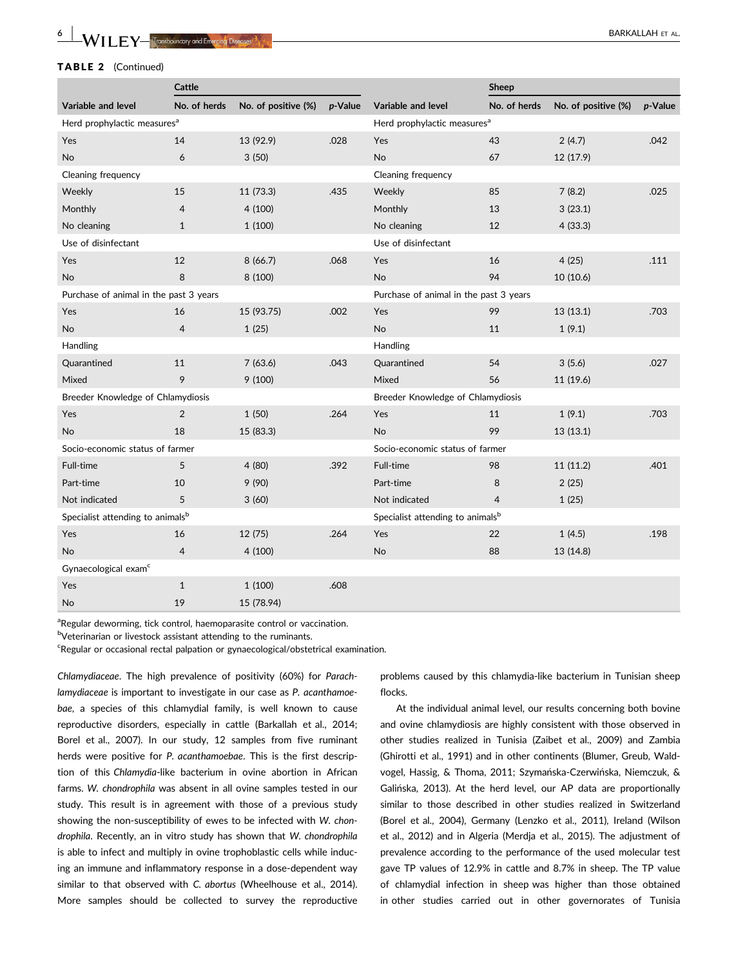#### TABLE 2 (Continued)

|                                              | Cattle         |                     |                                         | Sheep                                  |                |                     |         |  |  |  |
|----------------------------------------------|----------------|---------------------|-----------------------------------------|----------------------------------------|----------------|---------------------|---------|--|--|--|
| Variable and level                           | No. of herds   | No. of positive (%) | p-Value                                 | Variable and level                     | No. of herds   | No. of positive (%) | p-Value |  |  |  |
| Herd prophylactic measures <sup>a</sup>      |                |                     | Herd prophylactic measures <sup>a</sup> |                                        |                |                     |         |  |  |  |
| Yes                                          | 14             | 13 (92.9)           | .028                                    | Yes                                    | 43             | 2(4.7)              | .042    |  |  |  |
| No                                           | 6              | 3(50)               |                                         | No                                     | 67             | 12 (17.9)           |         |  |  |  |
| Cleaning frequency                           |                |                     |                                         | Cleaning frequency                     |                |                     |         |  |  |  |
| Weekly                                       | 15             | 11 (73.3)           | .435                                    | Weekly                                 | 85             | 7(8.2)              | .025    |  |  |  |
| Monthly                                      | $\overline{4}$ | 4(100)              |                                         | Monthly                                | 13             | 3(23.1)             |         |  |  |  |
| No cleaning                                  | $\mathbf{1}$   | 1(100)              |                                         | No cleaning                            | 12             | 4(33.3)             |         |  |  |  |
| Use of disinfectant                          |                |                     |                                         | Use of disinfectant                    |                |                     |         |  |  |  |
| Yes                                          | 12             | 8(66.7)             | .068                                    | Yes                                    | 16             | 4(25)               | .111    |  |  |  |
| No                                           | 8              | 8 (100)             |                                         | No                                     | 94             | 10(10.6)            |         |  |  |  |
| Purchase of animal in the past 3 years       |                |                     |                                         | Purchase of animal in the past 3 years |                |                     |         |  |  |  |
| Yes                                          | 16             | 15 (93.75)          | .002                                    | Yes                                    | 99             | 13 (13.1)           | .703    |  |  |  |
| No                                           | $\overline{4}$ | 1(25)               |                                         | <b>No</b>                              | 11             | 1(9.1)              |         |  |  |  |
| Handling                                     |                |                     |                                         | Handling                               |                |                     |         |  |  |  |
| Quarantined                                  | 11             | 7(63.6)             | .043                                    | Quarantined                            | 54             | 3(5.6)              | .027    |  |  |  |
| Mixed                                        | 9              | 9(100)              |                                         | Mixed                                  | 56             | 11 (19.6)           |         |  |  |  |
| Breeder Knowledge of Chlamydiosis            |                |                     |                                         | Breeder Knowledge of Chlamydiosis      |                |                     |         |  |  |  |
| Yes                                          | $\overline{2}$ | 1(50)               | .264                                    | Yes                                    | 11             | 1(9.1)              | .703    |  |  |  |
| No.                                          | 18             | 15 (83.3)           |                                         | <b>No</b>                              | 99             | 13(13.1)            |         |  |  |  |
| Socio-economic status of farmer              |                |                     |                                         | Socio-economic status of farmer        |                |                     |         |  |  |  |
| Full-time                                    | 5              | 4(80)               | .392                                    | Full-time                              | 98             | 11(11.2)            | .401    |  |  |  |
| Part-time                                    | 10             | 9(90)               |                                         | Part-time                              | 8              | 2(25)               |         |  |  |  |
| Not indicated                                | 5              | 3(60)               |                                         | Not indicated                          | $\overline{4}$ | 1(25)               |         |  |  |  |
| Specialist attending to animals <sup>b</sup> |                |                     | Specialist attending to animalsb        |                                        |                |                     |         |  |  |  |
| Yes                                          | 16             | 12 (75)             | .264                                    | Yes                                    | 22             | 1(4.5)              | .198    |  |  |  |
| No                                           | $\overline{4}$ | 4(100)              |                                         | <b>No</b>                              | 88             | 13 (14.8)           |         |  |  |  |
| Gynaecological exam <sup>c</sup>             |                |                     |                                         |                                        |                |                     |         |  |  |  |
| Yes                                          | $1\,$          | 1(100)              | .608                                    |                                        |                |                     |         |  |  |  |
| No                                           | 19             | 15 (78.94)          |                                         |                                        |                |                     |         |  |  |  |

<sup>a</sup>Regular deworming, tick control, haemoparasite control or vaccination.

bVeterinarian or livestock assistant attending to the ruminants.

<sup>c</sup>Regular or occasional rectal palpation or gynaecological/obstetrical examination.

Chlamydiaceae. The high prevalence of positivity (60%) for Parachlamydiaceae is important to investigate in our case as P. acanthamoebae, a species of this chlamydial family, is well known to cause reproductive disorders, especially in cattle (Barkallah et al., 2014; Borel et al., 2007). In our study, 12 samples from five ruminant herds were positive for P. acanthamoebae. This is the first description of this Chlamydia-like bacterium in ovine abortion in African farms. W. chondrophila was absent in all ovine samples tested in our study. This result is in agreement with those of a previous study showing the non-susceptibility of ewes to be infected with W. chondrophila. Recently, an in vitro study has shown that W. chondrophila is able to infect and multiply in ovine trophoblastic cells while inducing an immune and inflammatory response in a dose-dependent way similar to that observed with C. abortus (Wheelhouse et al., 2014). More samples should be collected to survey the reproductive problems caused by this chlamydia-like bacterium in Tunisian sheep flocks.

At the individual animal level, our results concerning both bovine and ovine chlamydiosis are highly consistent with those observed in other studies realized in Tunisia (Zaibet et al., 2009) and Zambia (Ghirotti et al., 1991) and in other continents (Blumer, Greub, Waldvogel, Hassig, & Thoma, 2011; Szymańska-Czerwińska, Niemczuk, & Galinska, 2013). At the herd level, our AP data are proportionally similar to those described in other studies realized in Switzerland (Borel et al., 2004), Germany (Lenzko et al., 2011), Ireland (Wilson et al., 2012) and in Algeria (Merdja et al., 2015). The adjustment of prevalence according to the performance of the used molecular test gave TP values of 12.9% in cattle and 8.7% in sheep. The TP value of chlamydial infection in sheep was higher than those obtained in other studies carried out in other governorates of Tunisia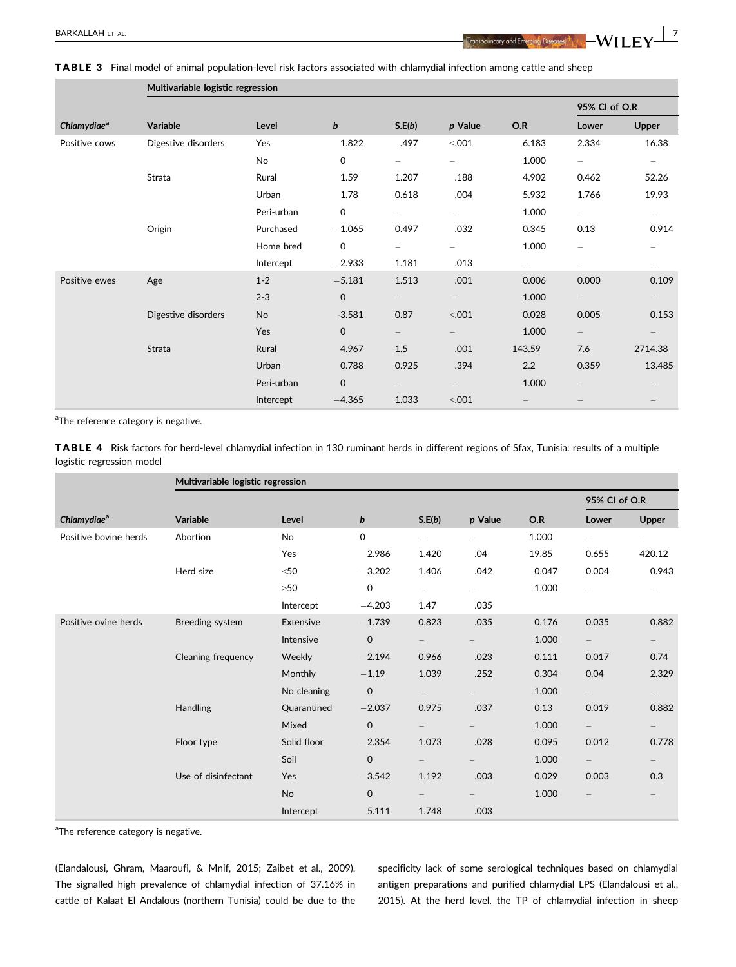|                         | Multivariable logistic regression |            |              |                          |                          |                          |                          |                          |  |  |
|-------------------------|-----------------------------------|------------|--------------|--------------------------|--------------------------|--------------------------|--------------------------|--------------------------|--|--|
|                         |                                   |            |              |                          |                          |                          | 95% CI of O.R            |                          |  |  |
| Chlamydiae <sup>a</sup> | <b>Variable</b>                   | Level      | b            | S.E(b)                   | p Value                  | O.R                      | Lower                    | Upper                    |  |  |
| Positive cows           | Digestive disorders               | Yes        | 1.822        | .497                     | < 0.001                  | 6.183                    | 2.334                    | 16.38                    |  |  |
|                         |                                   | No         | 0            | $\overline{\phantom{0}}$ | $\overline{\phantom{0}}$ | 1.000                    | $\overline{\phantom{0}}$ | $\overline{\phantom{0}}$ |  |  |
|                         | Strata                            | Rural      | 1.59         | 1.207                    | .188                     | 4.902                    | 0.462                    | 52.26                    |  |  |
|                         |                                   | Urban      | 1.78         | 0.618                    | .004                     | 5.932                    | 1.766                    | 19.93                    |  |  |
|                         |                                   | Peri-urban | $\mathbf 0$  | $-$                      | $\overline{\phantom{0}}$ | 1.000                    | $-$                      | $\overline{\phantom{0}}$ |  |  |
|                         | Origin                            | Purchased  | $-1.065$     | 0.497                    | .032                     | 0.345                    | 0.13                     | 0.914                    |  |  |
|                         |                                   | Home bred  | 0            | $\overline{\phantom{0}}$ |                          | 1.000                    |                          |                          |  |  |
|                         |                                   | Intercept  | $-2.933$     | 1.181                    | .013                     | $\overline{\phantom{0}}$ | —                        |                          |  |  |
| Positive ewes           | Age                               | $1 - 2$    | $-5.181$     | 1.513                    | .001                     | 0.006                    | 0.000                    | 0.109                    |  |  |
|                         |                                   | $2 - 3$    | $\mathbf 0$  |                          |                          | 1.000                    |                          |                          |  |  |
|                         | Digestive disorders               | No         | $-3.581$     | 0.87                     | < 0.001                  | 0.028                    | 0.005                    | 0.153                    |  |  |
|                         |                                   | Yes        | $\mathbf{O}$ | $-$                      |                          | 1.000                    | $ \,$                    |                          |  |  |
|                         | Strata                            | Rural      | 4.967        | 1.5                      | .001                     | 143.59                   | 7.6                      | 2714.38                  |  |  |
|                         |                                   | Urban      | 0.788        | 0.925                    | .394                     | 2.2                      | 0.359                    | 13.485                   |  |  |
|                         |                                   | Peri-urban | $\mathsf{O}$ | $-$                      |                          | 1.000                    |                          |                          |  |  |
|                         |                                   | Intercept  | $-4.365$     | 1.033                    | < 0.001                  |                          |                          |                          |  |  |

<sup>a</sup>The reference category is negative.

|                           | <b>TABLE 4</b> Risk factors for herd-level chlamydial infection in 130 ruminant herds in different regions of Sfax, Tunisia: results of a multiple |  |  |  |  |
|---------------------------|----------------------------------------------------------------------------------------------------------------------------------------------------|--|--|--|--|
| logistic regression model |                                                                                                                                                    |  |  |  |  |

|                         | Multivariable logistic regression |             |                  |                          |                          |       |                          |                          |  |
|-------------------------|-----------------------------------|-------------|------------------|--------------------------|--------------------------|-------|--------------------------|--------------------------|--|
|                         |                                   |             |                  |                          |                          |       | 95% CI of O.R            |                          |  |
| Chlamydiae <sup>a</sup> | Variable                          | Level       | $\boldsymbol{b}$ | S.E(b)                   | p Value                  | O.R   | Lower                    | Upper                    |  |
| Positive bovine herds   | Abortion                          | No          | 0                | $\overline{\phantom{0}}$ | $\overline{\phantom{0}}$ | 1.000 | $\overline{\phantom{0}}$ | $\overline{\phantom{0}}$ |  |
|                         |                                   | Yes         | 2.986            | 1.420                    | .04                      | 19.85 | 0.655                    | 420.12                   |  |
|                         | Herd size                         | $<$ 50      | $-3.202$         | 1.406                    | .042                     | 0.047 | 0.004                    | 0.943                    |  |
|                         |                                   | >50         | $\mathbf 0$      |                          |                          | 1.000 |                          |                          |  |
|                         |                                   | Intercept   | $-4.203$         | 1.47                     | .035                     |       |                          |                          |  |
| Positive ovine herds    | Breeding system                   | Extensive   | $-1.739$         | 0.823                    | .035                     | 0.176 | 0.035                    | 0.882                    |  |
|                         |                                   | Intensive   | $\mathbf 0$      |                          |                          | 1.000 | $\overline{\phantom{0}}$ |                          |  |
|                         | Cleaning frequency                | Weekly      | $-2.194$         | 0.966                    | .023                     | 0.111 | 0.017                    | 0.74                     |  |
|                         |                                   | Monthly     | $-1.19$          | 1.039                    | .252                     | 0.304 | 0.04                     | 2.329                    |  |
|                         |                                   | No cleaning | $\mathbf 0$      |                          |                          | 1.000 | $\overline{\phantom{0}}$ |                          |  |
|                         | <b>Handling</b>                   | Quarantined | $-2.037$         | 0.975                    | .037                     | 0.13  | 0.019                    | 0.882                    |  |
|                         |                                   | Mixed       | $\mathbf 0$      |                          |                          | 1.000 | $\overline{\phantom{0}}$ |                          |  |
|                         | Floor type                        | Solid floor | $-2.354$         | 1.073                    | .028                     | 0.095 | 0.012                    | 0.778                    |  |
|                         |                                   | Soil        | $\mathbf 0$      |                          |                          | 1.000 | $\overline{\phantom{0}}$ |                          |  |
|                         | Use of disinfectant               | Yes         | $-3.542$         | 1.192                    | .003                     | 0.029 | 0.003                    | 0.3                      |  |
|                         |                                   | No          | $\mathbf{O}$     |                          |                          | 1.000 |                          |                          |  |
|                         |                                   | Intercept   | 5.111            | 1.748                    | .003                     |       |                          |                          |  |

<sup>a</sup>The reference category is negative.

(Elandalousi, Ghram, Maaroufi, & Mnif, 2015; Zaibet et al., 2009). The signalled high prevalence of chlamydial infection of 37.16% in cattle of Kalaat El Andalous (northern Tunisia) could be due to the specificity lack of some serological techniques based on chlamydial antigen preparations and purified chlamydial LPS (Elandalousi et al., 2015). At the herd level, the TP of chlamydial infection in sheep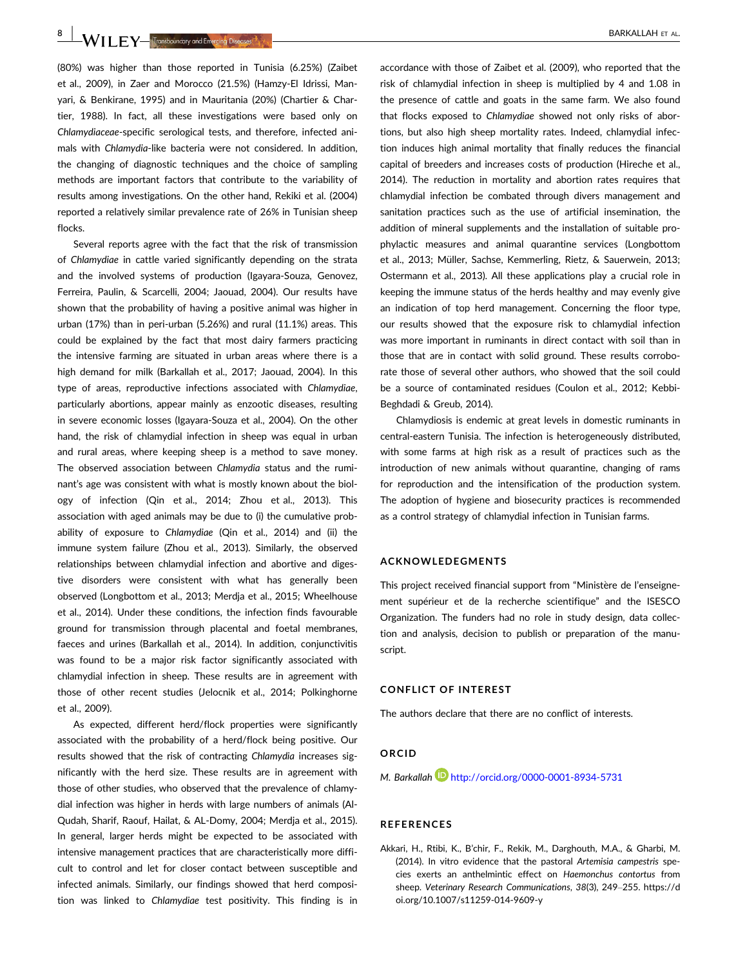**8** M/II FV—Transboundary and Emercing Diseases **1999** 

(80%) was higher than those reported in Tunisia (6.25%) (Zaibet et al., 2009), in Zaer and Morocco (21.5%) (Hamzy-El Idrissi, Manyari, & Benkirane, 1995) and in Mauritania (20%) (Chartier & Chartier, 1988). In fact, all these investigations were based only on Chlamydiaceae-specific serological tests, and therefore, infected animals with Chlamydia-like bacteria were not considered. In addition, the changing of diagnostic techniques and the choice of sampling methods are important factors that contribute to the variability of results among investigations. On the other hand, Rekiki et al. (2004) reported a relatively similar prevalence rate of 26% in Tunisian sheep flocks.

Several reports agree with the fact that the risk of transmission of Chlamydiae in cattle varied significantly depending on the strata and the involved systems of production (Igayara-Souza, Genovez, Ferreira, Paulin, & Scarcelli, 2004; Jaouad, 2004). Our results have shown that the probability of having a positive animal was higher in urban (17%) than in peri-urban (5.26%) and rural (11.1%) areas. This could be explained by the fact that most dairy farmers practicing the intensive farming are situated in urban areas where there is a high demand for milk (Barkallah et al., 2017; Jaouad, 2004). In this type of areas, reproductive infections associated with Chlamydiae, particularly abortions, appear mainly as enzootic diseases, resulting in severe economic losses (Igayara-Souza et al., 2004). On the other hand, the risk of chlamydial infection in sheep was equal in urban and rural areas, where keeping sheep is a method to save money. The observed association between Chlamydia status and the ruminant's age was consistent with what is mostly known about the biology of infection (Qin et al., 2014; Zhou et al., 2013). This association with aged animals may be due to (i) the cumulative probability of exposure to Chlamydiae (Qin et al., 2014) and (ii) the immune system failure (Zhou et al., 2013). Similarly, the observed relationships between chlamydial infection and abortive and digestive disorders were consistent with what has generally been observed (Longbottom et al., 2013; Merdja et al., 2015; Wheelhouse et al., 2014). Under these conditions, the infection finds favourable ground for transmission through placental and foetal membranes, faeces and urines (Barkallah et al., 2014). In addition, conjunctivitis was found to be a major risk factor significantly associated with chlamydial infection in sheep. These results are in agreement with those of other recent studies (Jelocnik et al., 2014; Polkinghorne et al., 2009).

As expected, different herd/flock properties were significantly associated with the probability of a herd/flock being positive. Our results showed that the risk of contracting Chlamydia increases significantly with the herd size. These results are in agreement with those of other studies, who observed that the prevalence of chlamydial infection was higher in herds with large numbers of animals (Al-Qudah, Sharif, Raouf, Hailat, & AL-Domy, 2004; Merdja et al., 2015). In general, larger herds might be expected to be associated with intensive management practices that are characteristically more difficult to control and let for closer contact between susceptible and infected animals. Similarly, our findings showed that herd composition was linked to Chlamydiae test positivity. This finding is in accordance with those of Zaibet et al. (2009), who reported that the risk of chlamydial infection in sheep is multiplied by 4 and 1.08 in the presence of cattle and goats in the same farm. We also found that flocks exposed to Chlamydiae showed not only risks of abortions, but also high sheep mortality rates. Indeed, chlamydial infection induces high animal mortality that finally reduces the financial capital of breeders and increases costs of production (Hireche et al., 2014). The reduction in mortality and abortion rates requires that chlamydial infection be combated through divers management and sanitation practices such as the use of artificial insemination, the addition of mineral supplements and the installation of suitable prophylactic measures and animal quarantine services (Longbottom et al., 2013; Müller, Sachse, Kemmerling, Rietz, & Sauerwein, 2013; Ostermann et al., 2013). All these applications play a crucial role in keeping the immune status of the herds healthy and may evenly give an indication of top herd management. Concerning the floor type, our results showed that the exposure risk to chlamydial infection was more important in ruminants in direct contact with soil than in those that are in contact with solid ground. These results corroborate those of several other authors, who showed that the soil could be a source of contaminated residues (Coulon et al., 2012; Kebbi-Beghdadi & Greub, 2014).

Chlamydiosis is endemic at great levels in domestic ruminants in central-eastern Tunisia. The infection is heterogeneously distributed, with some farms at high risk as a result of practices such as the introduction of new animals without quarantine, changing of rams for reproduction and the intensification of the production system. The adoption of hygiene and biosecurity practices is recommended as a control strategy of chlamydial infection in Tunisian farms.

#### ACKNOWLEDEGMENTS

This project received financial support from "Ministère de l'enseignement supérieur et de la recherche scientifique" and the ISESCO Organization. The funders had no role in study design, data collection and analysis, decision to publish or preparation of the manuscript.

#### CONFLICT OF INTEREST

The authors declare that there are no conflict of interests.

#### ORCID

M. Barkallah http://orcid.org/0000-0001-8934-5731

#### REFERENCES

Akkari, H., Rtibi, K., B'chir, F., Rekik, M., Darghouth, M.A., & Gharbi, M. (2014). In vitro evidence that the pastoral Artemisia campestris species exerts an anthelmintic effect on Haemonchus contortus from sheep. Veterinary Research Communications, 38(3), 249–255. [https://d](https://doi.org/10.1007/s11259-014-9609-y) [oi.org/10.1007/s11259-014-9609-y](https://doi.org/10.1007/s11259-014-9609-y)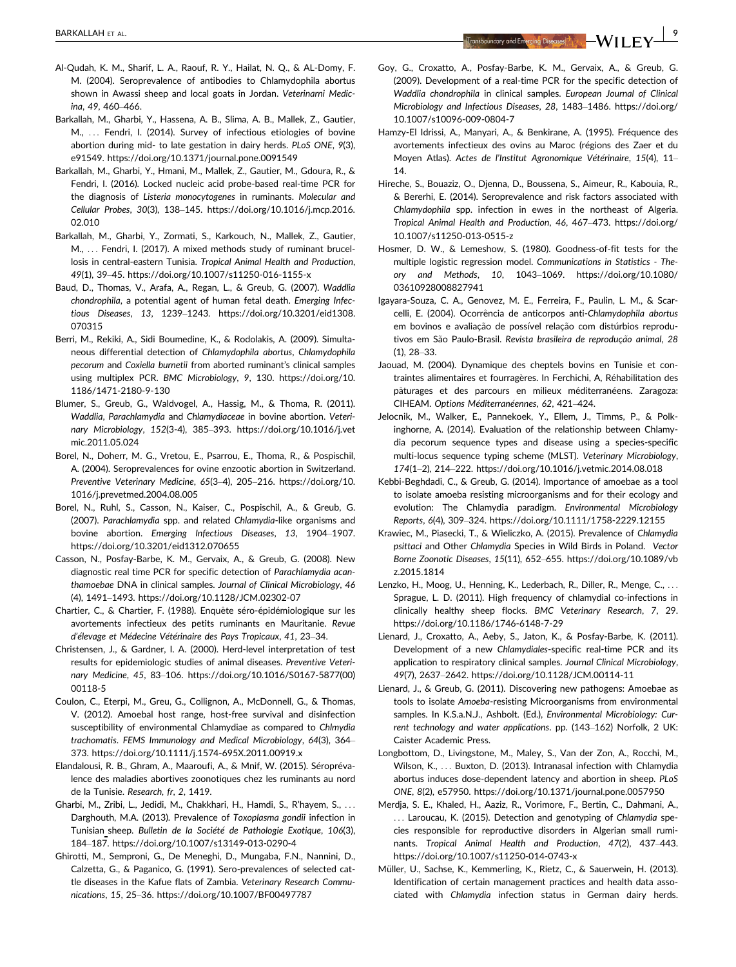- Al-Qudah, K. M., Sharif, L. A., Raouf, R. Y., Hailat, N. Q., & AL-Domy, F. M. (2004). Seroprevalence of antibodies to Chlamydophila abortus shown in Awassi sheep and local goats in Jordan. Veterinarni Medicina, 49, 460–466.
- Barkallah, M., Gharbi, Y., Hassena, A. B., Slima, A. B., Mallek, Z., Gautier, M., ... Fendri, I. (2014). Survey of infectious etiologies of bovine abortion during mid- to late gestation in dairy herds. PLoS ONE, 9(3), e91549.<https://doi.org/10.1371/journal.pone.0091549>
- Barkallah, M., Gharbi, Y., Hmani, M., Mallek, Z., Gautier, M., Gdoura, R., & Fendri, I. (2016). Locked nucleic acid probe-based real-time PCR for the diagnosis of Listeria monocytogenes in ruminants. Molecular and Cellular Probes, 30(3), 138–145. [https://doi.org/10.1016/j.mcp.2016.](https://doi.org/10.1016/j.mcp.2016.02.010) [02.010](https://doi.org/10.1016/j.mcp.2016.02.010)
- Barkallah, M., Gharbi, Y., Zormati, S., Karkouch, N., Mallek, Z., Gautier, M., ... Fendri, I. (2017). A mixed methods study of ruminant brucellosis in central-eastern Tunisia. Tropical Animal Health and Production, 49(1), 39–45.<https://doi.org/10.1007/s11250-016-1155-x>
- Baud, D., Thomas, V., Arafa, A., Regan, L., & Greub, G. (2007). Waddlia chondrophila, a potential agent of human fetal death. Emerging Infectious Diseases, 13, 1239–1243. [https://doi.org/10.3201/eid1308.](https://doi.org/10.3201/eid1308.070315) [070315](https://doi.org/10.3201/eid1308.070315)
- Berri, M., Rekiki, A., Sidi Boumedine, K., & Rodolakis, A. (2009). Simultaneous differential detection of Chlamydophila abortus, Chlamydophila pecorum and Coxiella burnetii from aborted ruminant's clinical samples using multiplex PCR. BMC Microbiology, 9, 130. [https://doi.org/10.](https://doi.org/10.1186/1471-2180-9-130) [1186/1471-2180-9-130](https://doi.org/10.1186/1471-2180-9-130)
- Blumer, S., Greub, G., Waldvogel, A., Hassig, M., & Thoma, R. (2011). Waddlia, Parachlamydia and Chlamydiaceae in bovine abortion. Veterinary Microbiology, 152(3-4), 385–393. [https://doi.org/10.1016/j.vet](https://doi.org/10.1016/j.vetmic.2011.05.024) [mic.2011.05.024](https://doi.org/10.1016/j.vetmic.2011.05.024)
- Borel, N., Doherr, M. G., Vretou, E., Psarrou, E., Thoma, R., & Pospischil, A. (2004). Seroprevalences for ovine enzootic abortion in Switzerland. Preventive Veterinary Medicine, 65(3–4), 205–216. [https://doi.org/10.](https://doi.org/10.1016/j.prevetmed.2004.08.005) [1016/j.prevetmed.2004.08.005](https://doi.org/10.1016/j.prevetmed.2004.08.005)
- Borel, N., Ruhl, S., Casson, N., Kaiser, C., Pospischil, A., & Greub, G. (2007). Parachlamydia spp. and related Chlamydia-like organisms and bovine abortion. Emerging Infectious Diseases, 13, 1904–1907. <https://doi.org/10.3201/eid1312.070655>
- Casson, N., Posfay-Barbe, K. M., Gervaix, A., & Greub, G. (2008). New diagnostic real time PCR for specific detection of Parachlamydia acanthamoebae DNA in clinical samples. Journal of Clinical Microbiology, 46 (4), 1491–1493.<https://doi.org/10.1128/JCM.02302-07>
- Chartier, C., & Chartier, F. (1988). Enquête séro-épidémiologique sur les avortements infectieux des petits ruminants en Mauritanie. Revue d'élevage et Médecine Vétérinaire des Pays Tropicaux, 41, 23-34.
- Christensen, J., & Gardner, I. A. (2000). Herd-level interpretation of test results for epidemiologic studies of animal diseases. Preventive Veterinary Medicine, 45, 83–106. [https://doi.org/10.1016/S0167-5877\(00\)](https://doi.org/10.1016/S0167-5877(00)00118-5) [00118-5](https://doi.org/10.1016/S0167-5877(00)00118-5)
- Coulon, C., Eterpi, M., Greu, G., Collignon, A., McDonnell, G., & Thomas, V. (2012). Amoebal host range, host-free survival and disinfection susceptibility of environmental Chlamydiae as compared to Chlmydia trachomatis. FEMS Immunology and Medical Microbiology, 64(3), 364– 373.<https://doi.org/10.1111/j.1574-695X.2011.00919.x>
- Elandalousi, R. B., Ghram, A., Maaroufi, A., & Mnif, W. (2015). Séroprévalence des maladies abortives zoonotiques chez les ruminants au nord de la Tunisie. Research, fr, 2, 1419.
- Gharbi, M., Zribi, L., Jedidi, M., Chakkhari, H., Hamdi, S., R'hayem, S., ... Darghouth, M.A. (2013). Prevalence of Toxoplasma gondii infection in Tunisian sheep. Bulletin de la Société de Pathologie Exotique, 106(3), 184–187.<https://doi.org/10.1007/s13149-013-0290-4>
- Ghirotti, M., Semproni, G., De Meneghi, D., Mungaba, F.N., Nannini, D., Calzetta, G., & Paganico, G. (1991). Sero-prevalences of selected cattle diseases in the Kafue flats of Zambia. Veterinary Research Communications, 15, 25–36.<https://doi.org/10.1007/BF00497787>
- Goy, G., Croxatto, A., Posfay-Barbe, K. M., Gervaix, A., & Greub, G. (2009). Development of a real-time PCR for the specific detection of Waddlia chondrophila in clinical samples. European Journal of Clinical Microbiology and Infectious Diseases, 28, 1483–1486. [https://doi.org/](https://doi.org/10.1007/s10096-009-0804-7) [10.1007/s10096-009-0804-7](https://doi.org/10.1007/s10096-009-0804-7)
- Hamzy-El Idrissi, A., Manyari, A., & Benkirane, A. (1995). Fréquence des avortements infectieux des ovins au Maroc (régions des Zaer et du Moyen Atlas). Actes de l'Institut Agronomique Vétérinaire, 15(4), 11-14.
- Hireche, S., Bouaziz, O., Djenna, D., Boussena, S., Aimeur, R., Kabouia, R., & Bererhi, E. (2014). Seroprevalence and risk factors associated with Chlamydophila spp. infection in ewes in the northeast of Algeria. Tropical Animal Health and Production, 46, 467–473. [https://doi.org/](https://doi.org/10.1007/s11250-013-0515-z) [10.1007/s11250-013-0515-z](https://doi.org/10.1007/s11250-013-0515-z)
- Hosmer, D. W., & Lemeshow, S. (1980). Goodness-of-fit tests for the multiple logistic regression model. Communications in Statistics - Theory and Methods, 10, 1043–1069. [https://doi.org/10.1080/](https://doi.org/10.1080/03610928008827941) [03610928008827941](https://doi.org/10.1080/03610928008827941)
- Igayara-Souza, C. A., Genovez, M. E., Ferreira, F., Paulin, L. M., & Scarcelli, E. (2004). Ocorrência de anticorpos anti-Chlamydophila abortus em bovinos e avaliação de possível relação com distúrbios reprodutivos em São Paulo-Brasil. Revista brasileira de reprodução animal, 28 (1), 28–33.
- Jaouad, M. (2004). Dynamique des cheptels bovins en Tunisie et contraintes alimentaires et fourragères. In Ferchichi, A, Réhabilitation des pâturages et des parcours en milieux méditerranéens. Zaragoza: CIHEAM. Options Méditerranéennes, 62, 421-424.
- Jelocnik, M., Walker, E., Pannekoek, Y., Ellem, J., Timms, P., & Polkinghorne, A. (2014). Evaluation of the relationship between Chlamydia pecorum sequence types and disease using a species-specific multi-locus sequence typing scheme (MLST). Veterinary Microbiology, 174(1–2), 214–222.<https://doi.org/10.1016/j.vetmic.2014.08.018>
- Kebbi-Beghdadi, C., & Greub, G. (2014). Importance of amoebae as a tool to isolate amoeba resisting microorganisms and for their ecology and evolution: The Chlamydia paradigm. Environmental Microbiology Reports, 6(4), 309–324.<https://doi.org/10.1111/1758-2229.12155>
- Krawiec, M., Piasecki, T., & Wieliczko, A. (2015). Prevalence of Chlamydia psittaci and Other Chlamydia Species in Wild Birds in Poland. Vector Borne Zoonotic Diseases, 15(11), 652–655. [https://doi.org/10.1089/vb](https://doi.org/10.1089/vbz.2015.1814) [z.2015.1814](https://doi.org/10.1089/vbz.2015.1814)
- Lenzko, H., Moog, U., Henning, K., Lederbach, R., Diller, R., Menge, C., ... Sprague, L. D. (2011). High frequency of chlamydial co-infections in clinically healthy sheep flocks. BMC Veterinary Research, 7, 29. <https://doi.org/10.1186/1746-6148-7-29>
- Lienard, J., Croxatto, A., Aeby, S., Jaton, K., & Posfay-Barbe, K. (2011). Development of a new Chlamydiales-specific real-time PCR and its application to respiratory clinical samples. Journal Clinical Microbiology, 49(7), 2637–2642.<https://doi.org/10.1128/JCM.00114-11>
- Lienard, J., & Greub, G. (2011). Discovering new pathogens: Amoebae as tools to isolate Amoeba-resisting Microorganisms from environmental samples. In K.S.a.N.J., Ashbolt. (Ed.), Environmental Microbiology: Current technology and water applications. pp. (143–162) Norfolk, 2 UK: Caister Academic Press.
- Longbottom, D., Livingstone, M., Maley, S., Van der Zon, A., Rocchi, M., Wilson, K., ... Buxton, D. (2013). Intranasal infection with Chlamydia abortus induces dose-dependent latency and abortion in sheep. PLoS ONE, 8(2), e57950.<https://doi.org/10.1371/journal.pone.0057950>
- Merdja, S. E., Khaled, H., Aaziz, R., Vorimore, F., Bertin, C., Dahmani, A., ... Laroucau, K. (2015). Detection and genotyping of Chlamydia species responsible for reproductive disorders in Algerian small ruminants. Tropical Animal Health and Production, 47(2), 437–443. <https://doi.org/10.1007/s11250-014-0743-x>
- Müller, U., Sachse, K., Kemmerling, K., Rietz, C., & Sauerwein, H. (2013). Identification of certain management practices and health data associated with Chlamydia infection status in German dairy herds.